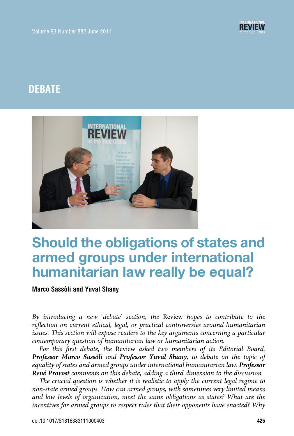

Volume 93 Number 882 June 2011

### **DEBATE**



## Should the obligations of states and armed groups under international humanitarian law really be equal?

#### **Marco Sassoli and Yuval Shany**

By introducing a new 'debate' section, the Review hopes to contribute to the reflection on current ethical, legal, or practical controversies around humanitarian issues. This section will expose readers to the key arguments concerning a particular contemporary question of humanitarian law or humanitarian action.

For this first debate, the Review asked two members of its Editorial Board, Professor Marco Sassòli and Professor Yuval Shany, to debate on the topic of equality of states and armed groups under international humanitarian law. Professor René Provost comments on this debate, adding a third dimension to the discussion.

The crucial question is whether it is realistic to apply the current legal regime to non-state armed groups. How can armed groups, with sometimes very limited means and low levels of organization, meet the same obligations as states? What are the incentives for armed groups to respect rules that their opponents have enacted? Why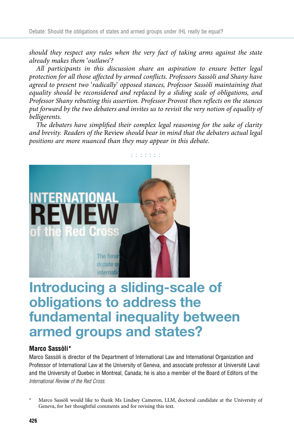should they respect any rules when the very fact of taking arms against the state already makes them 'outlaws'?

All participants in this discussion share an aspiration to ensure better legal protection for all those affected by armed conflicts. Professors Sassòli and Shany have agreed to present two 'radically' opposed stances, Professor Sassòli maintaining that equality should be reconsidered and replaced by a sliding scale of obligations, and Professor Shany rebutting this assertion. Professor Provost then reflects on the stances put forward by the two debaters and invites us to revisit the very notion of equality of belligerents.

The debaters have simplified their complex legal reasoning for the sake of clarity and brevity. Readers of the Review should bear in mind that the debaters actual legal positions are more nuanced than they may appear in this debate.



## Introducing a sliding-scale of obligations to address the fundamental inequality between armed groups and states?

#### Marco Sassòli\*

Marco Sassòli is director of the Department of International Law and International Organization and Professor of International Law at the University of Geneva, and associate professor at Université Laval and the University of Quebec in Montreal, Canada; he is also a member of the Board of Editors of the International Review of the Red Cross.

Marco Sassòli would like to thank Ms Lindsey Cameron, LLM, doctoral candidate at the University of Geneva, for her thoughtful comments and for revising this text.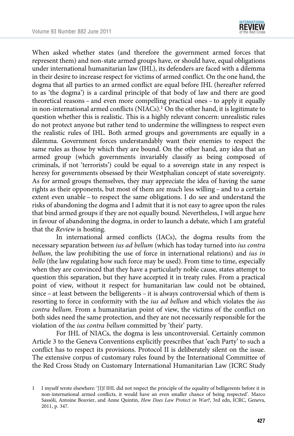

When asked whether states (and therefore the government armed forces that represent them) and non-state armed groups have, or should have, equal obligations under international humanitarian law (IHL), its defenders are faced with a dilemma in their desire to increase respect for victims of armed conflict. On the one hand, the dogma that all parties to an armed conflict are equal before IHL (hereafter referred to as 'the dogma') is a cardinal principle of that body of law and there are good theoretical reasons – and even more compelling practical ones – to apply it equally in non-international armed conflicts (NIACs).1 On the other hand, it is legitimate to question whether this is realistic. This is a highly relevant concern: unrealistic rules do not protect anyone but rather tend to undermine the willingness to respect even the realistic rules of IHL. Both armed groups and governments are equally in a dilemma. Government forces understandably want their enemies to respect the same rules as those by which they are bound. On the other hand, any idea that an armed group (which governments invariably classify as being composed of criminals, if not 'terrorists') could be equal to a sovereign state in any respect is heresy for governments obsessed by their Westphalian concept of state sovereignty. As for armed groups themselves, they may appreciate the idea of having the same rights as their opponents, but most of them are much less willing – and to a certain extent even unable – to respect the same obligations. I do see and understand the risks of abandoning the dogma and I admit that it is not easy to agree upon the rules that bind armed groups if they are not equally bound. Nevertheless, I will argue here in favour of abandoning the dogma, in order to launch a debate, which I am grateful that the Review is hosting.

In international armed conflicts (IACs), the dogma results from the necessary separation between ius ad bellum (which has today turned into ius contra bellum, the law prohibiting the use of force in international relations) and ius in bello (the law regulating how such force may be used). From time to time, especially when they are convinced that they have a particularly noble cause, states attempt to question this separation, but they have accepted it in treaty rules. From a practical point of view, without it respect for humanitarian law could not be obtained, since – at least between the belligerents – it is always controversial which of them is resorting to force in conformity with the *ius ad bellum* and which violates the *ius* contra bellum. From a humanitarian point of view, the victims of the conflict on both sides need the same protection, and they are not necessarily responsible for the violation of the ius contra bellum committed by 'their' party.

For IHL of NIACs, the dogma is less uncontroversial. Certainly common Article 3 to the Geneva Conventions explicitly prescribes that 'each Party' to such a conflict has to respect its provisions. Protocol II is deliberately silent on the issue. The extensive corpus of customary rules found by the International Committee of the Red Cross Study on Customary International Humanitarian Law (ICRC Study

<sup>1</sup> I myself wrote elsewhere: '[I]f IHL did not respect the principle of the equality of belligerents before it in non-international armed conflicts, it would have an even smaller chance of being respected'. Marco Sassòli, Antoine Bouvier, and Anne Quintin, How Does Law Protect in War?, 3rd edn, ICRC, Geneva, 2011, p. 347.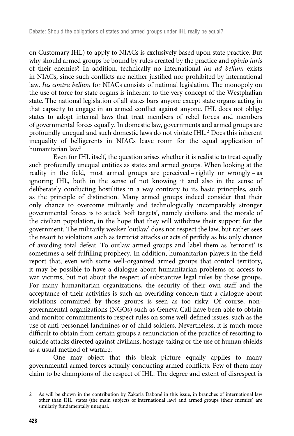on Customary IHL) to apply to NIACs is exclusively based upon state practice. But why should armed groups be bound by rules created by the practice and opinio iuris of their enemies? In addition, technically no international ius ad bellum exists in NIACs, since such conflicts are neither justified nor prohibited by international law. Ius contra bellum for NIACs consists of national legislation. The monopoly on the use of force for state organs is inherent to the very concept of the Westphalian state. The national legislation of all states bars anyone except state organs acting in that capacity to engage in an armed conflict against anyone. IHL does not oblige states to adopt internal laws that treat members of rebel forces and members of governmental forces equally. In domestic law, governments and armed groups are profoundly unequal and such domestic laws do not violate IHL.2 Does this inherent inequality of belligerents in NIACs leave room for the equal application of humanitarian law?

Even for IHL itself, the question arises whether it is realistic to treat equally such profoundly unequal entities as states and armed groups. When looking at the reality in the field, most armed groups are perceived – rightly or wrongly – as ignoring IHL, both in the sense of not knowing it and also in the sense of deliberately conducting hostilities in a way contrary to its basic principles, such as the principle of distinction. Many armed groups indeed consider that their only chance to overcome militarily and technologically incomparably stronger governmental forces is to attack 'soft targets', namely civilians and the morale of the civilian population, in the hope that they will withdraw their support for the government. The militarily weaker 'outlaw' does not respect the law, but rather sees the resort to violations such as terrorist attacks or acts of perfidy as his only chance of avoiding total defeat. To outlaw armed groups and label them as 'terrorist' is sometimes a self-fulfilling prophecy. In addition, humanitarian players in the field report that, even with some well-organized armed groups that control territory, it may be possible to have a dialogue about humanitarian problems or access to war victims, but not about the respect of substantive legal rules by those groups. For many humanitarian organizations, the security of their own staff and the acceptance of their activities is such an overriding concern that a dialogue about violations committed by those groups is seen as too risky. Of course, nongovernmental organizations (NGOs) such as Geneva Call have been able to obtain and monitor commitments to respect rules on some well-defined issues, such as the use of anti-personnel landmines or of child soldiers. Nevertheless, it is much more difficult to obtain from certain groups a renunciation of the practice of resorting to suicide attacks directed against civilians, hostage-taking or the use of human shields as a usual method of warfare.

One may object that this bleak picture equally applies to many governmental armed forces actually conducting armed conflicts. Few of them may claim to be champions of the respect of IHL. The degree and extent of disrespect is

<sup>2</sup> As will be shown in the contribution by Zakaria Daboné in this issue, in branches of international law other than IHL, states (the main subjects of international law) and armed groups (their enemies) are similarly fundamentally unequal.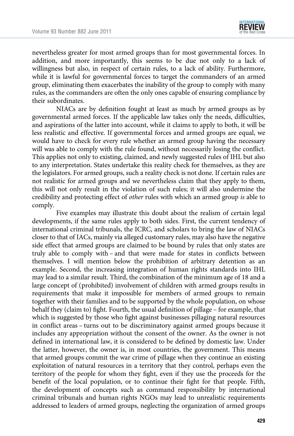nevertheless greater for most armed groups than for most governmental forces. In addition, and more importantly, this seems to be due not only to a lack of willingness but also, in respect of certain rules, to a lack of ability. Furthermore, while it is lawful for governmental forces to target the commanders of an armed group, eliminating them exacerbates the inability of the group to comply with many rules, as the commanders are often the only ones capable of ensuring compliance by their subordinates.

NIACs are by definition fought at least as much by armed groups as by governmental armed forces. If the applicable law takes only the needs, difficulties, and aspirations of the latter into account, while it claims to apply to both, it will be less realistic and effective. If governmental forces and armed groups are equal, we would have to check for every rule whether an armed group having the necessary will was able to comply with the rule found, without necessarily losing the conflict. This applies not only to existing, claimed, and newly suggested rules of IHL but also to any interpretation. States undertake this reality check for themselves, as they are the legislators. For armed groups, such a reality check is not done. If certain rules are not realistic for armed groups and we nevertheless claim that they apply to them, this will not only result in the violation of such rules; it will also undermine the credibility and protecting effect of other rules with which an armed group is able to comply.

Five examples may illustrate this doubt about the realism of certain legal developments, if the same rules apply to both sides. First, the current tendency of international criminal tribunals, the ICRC, and scholars to bring the law of NIACs closer to that of IACs, mainly via alleged customary rules, may also have the negative side effect that armed groups are claimed to be bound by rules that only states are truly able to comply with – and that were made for states in conflicts between themselves. I will mention below the prohibition of arbitrary detention as an example. Second, the increasing integration of human rights standards into IHL may lead to a similar result. Third, the combination of the minimum age of 18 and a large concept of (prohibited) involvement of children with armed groups results in requirements that make it impossible for members of armed groups to remain together with their families and to be supported by the whole population, on whose behalf they (claim to) fight. Fourth, the usual definition of pillage – for example, that which is suggested by those who fight against businesses pillaging natural resources in conflict areas – turns out to be discriminatory against armed groups because it includes any appropriation without the consent of the owner. As the owner is not defined in international law, it is considered to be defined by domestic law. Under the latter, however, the owner is, in most countries, the government. This means that armed groups commit the war crime of pillage when they continue an existing exploitation of natural resources in a territory that they control, perhaps even the territory of the people for whom they fight, even if they use the proceeds for the benefit of the local population, or to continue their fight for that people. Fifth, the development of concepts such as command responsibility by international criminal tribunals and human rights NGOs may lead to unrealistic requirements addressed to leaders of armed groups, neglecting the organization of armed groups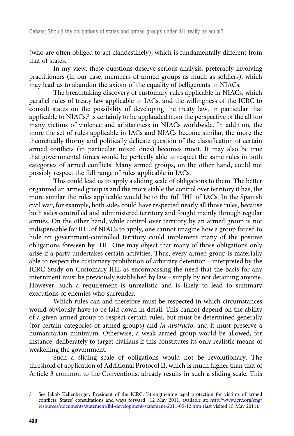(who are often obliged to act clandestinely), which is fundamentally different from that of states.

In my view, these questions deserve serious analysis, preferably involving practitioners (in our case, members of armed groups as much as soldiers), which may lead us to abandon the axiom of the equality of belligerents in NIACs.

The breathtaking discovery of customary rules applicable in NIACs, which parallel rules of treaty law applicable in IACs, and the willingness of the ICRC to consult states on the possibility of developing the treaty law, in particular that applicable to  $NIACs<sub>3</sub><sup>3</sup>$  is certainly to be applauded from the perspective of the all too many victims of violence and arbitariness in NIACs worldwide. In addition, the more the set of rules applicable in IACs and NIACs become similar, the more the theoretically thorny and politically delicate question of the classification of certain armed conflicts (in particular mixed ones) becomes moot. It may also be true that governmental forces would be perfectly able to respect the same rules in both categories of armed conflicts. Many armed groups, on the other hand, could not possibly respect the full range of rules applicable in IACs.

This could lead us to apply a sliding scale of obligations to them. The better organized an armed group is and the more stable the control over territory it has, the more similar the rules applicable would be to the full IHL of IACs. In the Spanish civil war, for example, both sides could have respected nearly all those rules, because both sides controlled and administered territory and fought mainly through regular armies. On the other hand, while control over territory by an armed group is not indispensable for IHL of NIACs to apply, one cannot imagine how a group forced to hide on government-controlled territory could implement many of the positive obligations foreseen by IHL. One may object that many of those obligations only arise if a party undertakes certain activities. Thus, every armed group is materially able to respect the customary prohibition of arbitrary detention – interpreted by the ICRC Study on Customary IHL as encompassing the need that the basis for any internment must be previously established by law – simply by not detaining anyone. However, such a requirement is unrealistic and is likely to lead to summary executions of enemies who surrender.

Which rules can and therefore must be respected in which circumstances would obviously have to be laid down in detail. This cannot depend on the ability of a given armed group to respect certain rules, but must be determined generally (for certain categories of armed groups) and in abstracto, and it must preserve a humanitarian minimum. Otherwise, a weak armed group would be allowed, for instance, deliberately to target civilians if this constitutes its only realistic means of weakening the government.

Such a sliding scale of obligations would not be revolutionary. The threshold of application of Additional Protocol II, which is much higher than that of Article 3 common to the Conventions, already results in such a sliding scale. This

<sup>3</sup> See Jakob Kellenberger, President of the ICRC, 'Strengthening legal protection for victims of armed conflicts: States' consultations and ways forward', 12 May 2011, available at: [http://www.icrc.org/eng/](http://www.icrc.org/eng/resources/documents/statement/ihl-development-statement-2011-05-12.htm) [resources/documents/statement/ihl-development-statement-2011-05-12.htm](http://www.icrc.org/eng/resources/documents/statement/ihl-development-statement-2011-05-12.htm) (last visited 15 May 2011).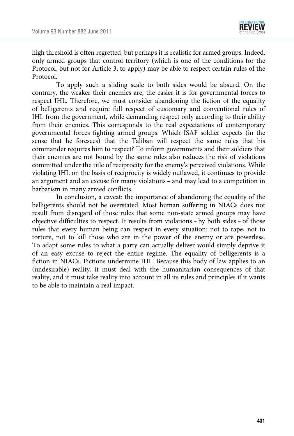

high threshold is often regretted, but perhaps it is realistic for armed groups. Indeed, only armed groups that control territory (which is one of the conditions for the Protocol, but not for Article 3, to apply) may be able to respect certain rules of the Protocol.

To apply such a sliding scale to both sides would be absurd. On the contrary, the weaker their enemies are, the easier it is for governmental forces to respect IHL. Therefore, we must consider abandoning the fiction of the equality of belligerents and require full respect of customary and conventional rules of IHL from the government, while demanding respect only according to their ability from their enemies. This corresponds to the real expectations of contemporary governmental forces fighting armed groups. Which ISAF soldier expects (in the sense that he foresees) that the Taliban will respect the same rules that his commander requires him to respect? To inform governments and their soldiers that their enemies are not bound by the same rules also reduces the risk of violations committed under the title of reciprocity for the enemy's perceived violations. While violating IHL on the basis of reciprocity is widely outlawed, it continues to provide an argument and an excuse for many violations – and may lead to a competition in barbarism in many armed conflicts.

In conclusion, a caveat: the importance of abandoning the equality of the belligerents should not be overstated. Most human suffering in NIACs does not result from disregard of those rules that some non-state armed groups may have objective difficulties to respect. It results from violations – by both sides – of those rules that every human being can respect in every situation: not to rape, not to torture, not to kill those who are in the power of the enemy or are powerless. To adapt some rules to what a party can actually deliver would simply deprive it of an easy excuse to reject the entire regime. The equality of belligerents is a fiction in NIACs. Fictions undermine IHL. Because this body of law applies to an (undesirable) reality, it must deal with the humanitarian consequences of that reality, and it must take reality into account in all its rules and principles if it wants to be able to maintain a real impact.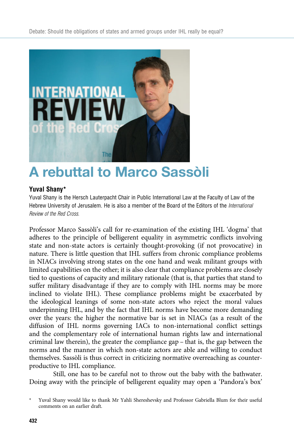

# A rebuttal to Marco Sassòli

### Yuval Shany\*

Yuval Shany is the Hersch Lauterpacht Chair in Public International Law at the Faculty of Law of the Hebrew University of Jerusalem. He is also a member of the Board of the Editors of the International Review of the Red Cross.

Professor Marco Sassòli's call for re-examination of the existing IHL 'dogma' that adheres to the principle of belligerent equality in asymmetric conflicts involving state and non-state actors is certainly thought-provoking (if not provocative) in nature. There is little question that IHL suffers from chronic compliance problems in NIACs involving strong states on the one hand and weak militant groups with limited capabilities on the other; it is also clear that compliance problems are closely tied to questions of capacity and military rationale (that is, that parties that stand to suffer military disadvantage if they are to comply with IHL norms may be more inclined to violate IHL). These compliance problems might be exacerbated by the ideological leanings of some non-state actors who reject the moral values underpinning IHL, and by the fact that IHL norms have become more demanding over the years: the higher the normative bar is set in NIACs (as a result of the diffusion of IHL norms governing IACs to non-international conflict settings and the complementary role of international human rights law and international criminal law therein), the greater the compliance gap – that is, the gap between the norms and the manner in which non-state actors are able and willing to conduct themselves. Sassòli is thus correct in criticizing normative overreaching as counterproductive to IHL compliance.

Still, one has to be careful not to throw out the baby with the bathwater. Doing away with the principle of belligerent equality may open a 'Pandora's box'

Yuval Shany would like to thank Mr Yahli Shereshevsky and Professor Gabriella Blum for their useful comments on an earlier draft.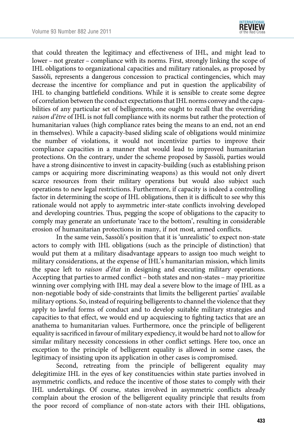

that could threaten the legitimacy and effectiveness of IHL, and might lead to lower – not greater – compliance with its norms. First, strongly linking the scope of IHL obligations to organizational capacities and military rationales, as proposed by Sassòli, represents a dangerous concession to practical contingencies, which may decrease the incentive for compliance and put in question the applicability of IHL to changing battlefield conditions. While it is sensible to create some degree of correlation between the conduct expectations that IHL norms convey and the capabilities of any particular set of belligerents, one ought to recall that the overriding raison d'être of IHL is not full compliance with its norms but rather the protection of humanitarian values (high compliance rates being the means to an end, not an end in themselves). While a capacity-based sliding scale of obligations would minimize the number of violations, it would not incentivize parties to improve their compliance capacities in a manner that would lead to improved humanitarian protections. On the contrary, under the scheme proposed by Sassòli, parties would have a strong disincentive to invest in capacity-building (such as establishing prison camps or acquiring more discriminating weapons) as this would not only divert scarce resources from their military operations but would also subject such operations to new legal restrictions. Furthermore, if capacity is indeed a controlling factor in determining the scope of IHL obligations, then it is difficult to see why this rationale would not apply to asymmetric inter-state conflicts involving developed and developing countries. Thus, pegging the scope of obligations to the capacity to comply may generate an unfortunate 'race to the bottom', resulting in considerable erosion of humanitarian protections in many, if not most, armed conflicts.

In the same vein, Sassòli's position that it is 'unrealistic' to expect non-state actors to comply with IHL obligations (such as the principle of distinction) that would put them at a military disadvantage appears to assign too much weight to military considerations, at the expense of IHL's humanitarian mission, which limits the space left to raison d'état in designing and executing military operations. Accepting that parties to armed conflict – both states and non-states – may prioritize winning over complying with IHL may deal a severe blow to the image of IHL as a non-negotiable body of side-constraints that limits the belligerent parties' available military options. So, instead of requiring belligerents to channel the violence that they apply to lawful forms of conduct and to develop suitable military strategies and capacities to that effect, we would end up acquiescing to fighting tactics that are an anathema to humanitarian values. Furthermore, once the principle of belligerent equality is sacrificed in favour of military expediency, it would be hard not to allow for similar military necessity concessions in other conflict settings. Here too, once an exception to the principle of belligerent equality is allowed in some cases, the legitimacy of insisting upon its application in other cases is compromised.

Second, retreating from the principle of belligerent equality may delegitimize IHL in the eyes of key constituencies within state parties involved in asymmetric conflicts, and reduce the incentive of those states to comply with their IHL undertakings. Of course, states involved in asymmetric conflicts already complain about the erosion of the belligerent equality principle that results from the poor record of compliance of non-state actors with their IHL obligations,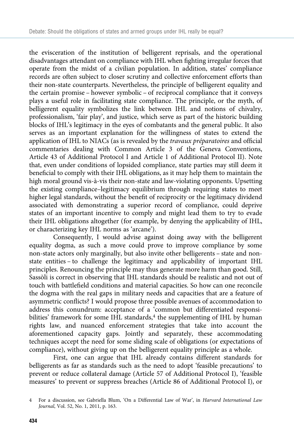the evisceration of the institution of belligerent reprisals, and the operational disadvantages attendant on compliance with IHL when fighting irregular forces that operate from the midst of a civilian population. In addition, states' compliance records are often subject to closer scrutiny and collective enforcement efforts than their non-state counterparts. Nevertheless, the principle of belligerent equality and the certain promise – however symbolic – of reciprocal compliance that it conveys plays a useful role in facilitating state compliance. The principle, or the myth, of belligerent equality symbolizes the link between IHL and notions of chivalry, professionalism, 'fair play', and justice, which serve as part of the historic building blocks of IHL's legitimacy in the eyes of combatants and the general public. It also serves as an important explanation for the willingness of states to extend the application of IHL to NIACs (as is revealed by the travaux préparatoires and official commentaries dealing with Common Article 3 of the Geneva Conventions, Article 43 of Additional Protocol I and Article 1 of Additional Protocol II). Note that, even under conditions of lopsided compliance, state parties may still deem it beneficial to comply with their IHL obligations, as it may help them to maintain the high moral ground vis-à-vis their non-state and law-violating opponents. Upsetting the existing compliance–legitimacy equilibrium through requiring states to meet higher legal standards, without the benefit of reciprocity or the legitimacy dividend associated with demonstrating a superior record of compliance, could deprive states of an important incentive to comply and might lead them to try to evade their IHL obligations altogether (for example, by denying the applicability of IHL, or characterizing key IHL norms as 'arcane').

Consequently, I would advise against doing away with the belligerent equality dogma, as such a move could prove to improve compliance by some non-state actors only marginally, but also invite other belligerents – state and nonstate entities – to challenge the legitimacy and applicability of important IHL principles. Renouncing the principle may thus generate more harm than good. Still, Sassòli is correct in observing that IHL standards should be realistic and not out of touch with battlefield conditions and material capacities. So how can one reconcile the dogma with the real gaps in military needs and capacities that are a feature of asymmetric conflicts? I would propose three possible avenues of accommodation to address this conundrum: acceptance of a 'common but differentiated responsibilities' framework for some IHL standards,<sup>4</sup> the supplementing of IHL by human rights law, and nuanced enforcement strategies that take into account the aforementioned capacity gaps. Jointly and separately, these accommodating techniques accept the need for some sliding scale of obligations (or expectations of compliance), without giving up on the belligerent equality principle as a whole.

First, one can argue that IHL already contains different standards for belligerents as far as standards such as the need to adopt 'feasible precautions' to prevent or reduce collateral damage (Article 57 of Additional Protocol I), 'feasible measures' to prevent or suppress breaches (Article 86 of Additional Protocol I), or

<sup>4</sup> For a discussion, see Gabriella Blum, 'On a Differential Law of War', in Harvard International Law Journal, Vol. 52, No. 1, 2011, p. 163.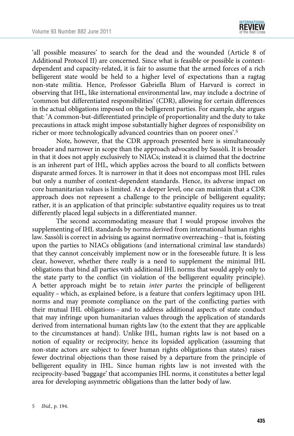'all possible measures' to search for the dead and the wounded (Article 8 of Additional Protocol II) are concerned. Since what is feasible or possible is contextdependent and capacity-related, it is fair to assume that the armed forces of a rich belligerent state would be held to a higher level of expectations than a ragtag non-state militia. Hence, Professor Gabriella Blum of Harvard is correct in observing that IHL, like international environmental law, may include a doctrine of 'common but differentiated responsibilities' (CDR), allowing for certain differences in the actual obligations imposed on the belligerent parties. For example, she argues that: 'A common-but-differentiated principle of proportionality and the duty to take precautions in attack might impose substantially higher degrees of responsibility on richer or more technologically advanced countries than on poorer ones'. 5

Note, however, that the CDR approach presented here is simultaneously broader and narrower in scope than the approach advocated by Sassòli. It is broader in that it does not apply exclusively to NIACs; instead it is claimed that the doctrine is an inherent part of IHL, which applies across the board to all conflicts between disparate armed forces. It is narrower in that it does not encompass most IHL rules but only a number of context-dependent standards. Hence, its adverse impact on core humanitarian values is limited. At a deeper level, one can maintain that a CDR approach does not represent a challenge to the principle of belligerent equality; rather, it is an application of that principle: substantive equality requires us to treat differently placed legal subjects in a differentiated manner.

The second accommodating measure that I would propose involves the supplementing of IHL standards by norms derived from international human rights law. Sassòli is correct in advising us against normative overreaching – that is, foisting upon the parties to NIACs obligations (and international criminal law standards) that they cannot conceivably implement now or in the foreseeable future. It is less clear, however, whether there really is a need to supplement the minimal IHL obligations that bind all parties with additional IHL norms that would apply only to the state party to the conflict (in violation of the belligerent equality principle). A better approach might be to retain inter partes the principle of belligerent equality – which, as explained before, is a feature that confers legitimacy upon IHL norms and may promote compliance on the part of the conflicting parties with their mutual IHL obligations – and to address additional aspects of state conduct that may infringe upon humanitarian values through the application of standards derived from international human rights law (to the extent that they are applicable to the circumstances at hand). Unlike IHL, human rights law is not based on a notion of equality or reciprocity; hence its lopsided application (assuming that non-state actors are subject to fewer human rights obligations than states) raises fewer doctrinal objections than those raised by a departure from the principle of belligerent equality in IHL. Since human rights law is not invested with the reciprocity-based 'baggage' that accompanies IHL norms, it constitutes a better legal area for developing asymmetric obligations than the latter body of law.